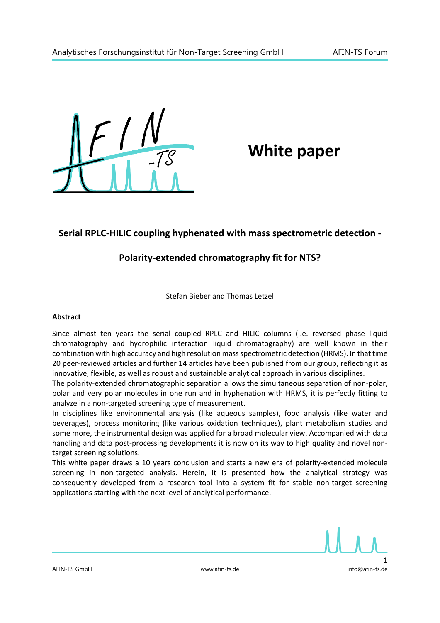

# **White paper**

# **Serial RPLC-HILIC coupling hyphenated with mass spectrometric detection -**

## **Polarity-extended chromatography fit for NTS?**

### Stefan Bieber and Thomas Letzel

#### **Abstract**

Since almost ten years the serial coupled RPLC and HILIC columns (i.e. reversed phase liquid chromatography and hydrophilic interaction liquid chromatography) are well known in their combination with high accuracy and high resolution mass spectrometric detection (HRMS). In that time 20 peer-reviewed articles and further 14 articles have been published from our group, reflecting it as innovative, flexible, as well as robust and sustainable analytical approach in various disciplines.

The polarity-extended chromatographic separation allows the simultaneous separation of non-polar, polar and very polar molecules in one run and in hyphenation with HRMS, it is perfectly fitting to analyze in a non-targeted screening type of measurement.

In disciplines like environmental analysis (like aqueous samples), food analysis (like water and beverages), process monitoring (like various oxidation techniques), plant metabolism studies and some more, the instrumental design was applied for a broad molecular view. Accompanied with data handling and data post-processing developments it is now on its way to high quality and novel nontarget screening solutions.

This white paper draws a 10 years conclusion and starts a new era of polarity-extended molecule screening in non-targeted analysis. Herein, it is presented how the analytical strategy was consequently developed from a research tool into a system fit for stable non-target screening applications starting with the next level of analytical performance.

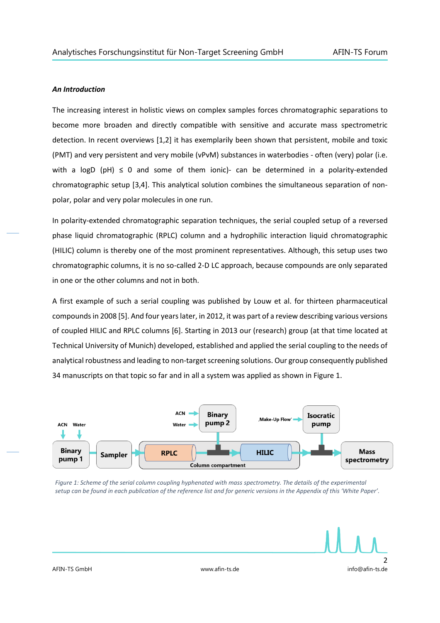#### *An Introduction*

The increasing interest in holistic views on complex samples forces chromatographic separations to become more broaden and directly compatible with sensitive and accurate mass spectrometric detection. In recent overviews [1,2] it has exemplarily been shown that persistent, mobile and toxic (PMT) and very persistent and very mobile (vPvM) substances in waterbodies - often (very) polar (i.e. with a logD (pH)  $\leq$  0 and some of them ionic)- can be determined in a polarity-extended chromatographic setup [3,4]. This analytical solution combines the simultaneous separation of nonpolar, polar and very polar molecules in one run.

In polarity-extended chromatographic separation techniques, the serial coupled setup of a reversed phase liquid chromatographic (RPLC) column and a hydrophilic interaction liquid chromatographic (HILIC) column is thereby one of the most prominent representatives. Although, this setup uses two chromatographic columns, it is no so-called 2-D LC approach, because compounds are only separated in one or the other columns and not in both.

A first example of such a serial coupling was published by Louw et al. for thirteen pharmaceutical compounds in 2008 [5]. And four years later, in 2012, it was part of a review describing various versions of coupled HILIC and RPLC columns [6]. Starting in 2013 our (research) group (at that time located at Technical University of Munich) developed, established and applied the serial coupling to the needs of analytical robustness and leading to non-target screening solutions. Our group consequently published 34 manuscripts on that topic so far and in all a system was applied as shown in Figure 1.



*Figure 1: Scheme of the serial column coupling hyphenated with mass spectrometry. The details of the experimental setup can be found in each publication of the reference list and for generic versions in the Appendix of this 'White Paper'.*

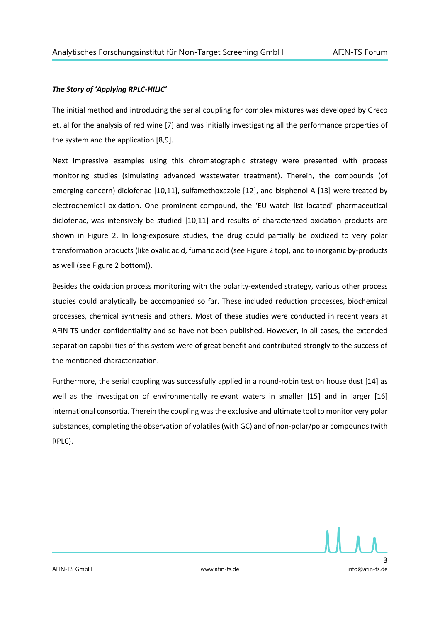#### *The Story of 'Applying RPLC-HILIC'*

The initial method and introducing the serial coupling for complex mixtures was developed by Greco et. al for the analysis of red wine [7] and was initially investigating all the performance properties of the system and the application [8,9].

Next impressive examples using this chromatographic strategy were presented with process monitoring studies (simulating advanced wastewater treatment). Therein, the compounds (of emerging concern) diclofenac [10,11], sulfamethoxazole [12], and bisphenol A [13] were treated by electrochemical oxidation. One prominent compound, the 'EU watch list located' pharmaceutical diclofenac, was intensively be studied [10,11] and results of characterized oxidation products are shown in Figure 2. In long-exposure studies, the drug could partially be oxidized to very polar transformation products (like oxalic acid, fumaric acid (see Figure 2 top), and to inorganic by-products as well (see Figure 2 bottom)).

Besides the oxidation process monitoring with the polarity-extended strategy, various other process studies could analytically be accompanied so far. These included reduction processes, biochemical processes, chemical synthesis and others. Most of these studies were conducted in recent years at AFIN-TS under confidentiality and so have not been published. However, in all cases, the extended separation capabilities of this system were of great benefit and contributed strongly to the success of the mentioned characterization.

Furthermore, the serial coupling was successfully applied in a round-robin test on house dust [14] as well as the investigation of environmentally relevant waters in smaller [15] and in larger [16] international consortia. Therein the coupling was the exclusive and ultimate tool to monitor very polar substances, completing the observation of volatiles(with GC) and of non-polar/polar compounds(with RPLC).

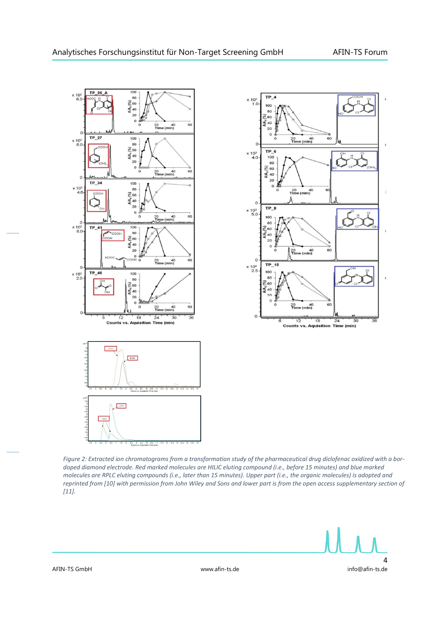





*Figure 2: Extracted ion chromatograms from a transformation study of the pharmaceutical drug diclofenac oxidized with a bordoped diamond electrode. Red marked molecules are HILIC eluting compound (i.e., before 15 minutes) and blue marked molecules are RPLC eluting compounds (i.e., later than 15 minutes). Upper part (i.e., the organic molecules) is adopted and reprinted from [10] with permission from John Wiley and Sons and lower part is from the open access supplementary section of [11].*

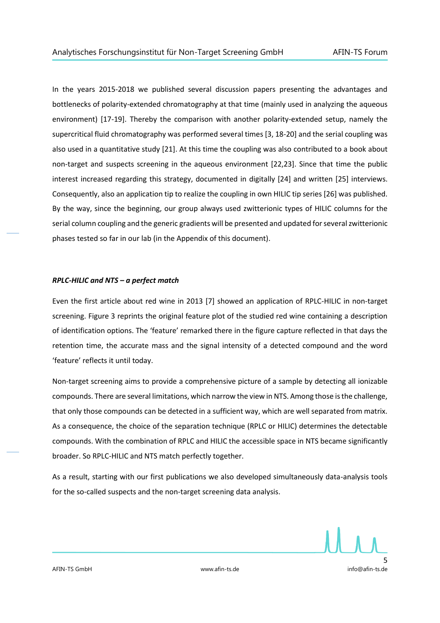In the years 2015-2018 we published several discussion papers presenting the advantages and bottlenecks of polarity-extended chromatography at that time (mainly used in analyzing the aqueous environment) [17-19]. Thereby the comparison with another polarity-extended setup, namely the supercritical fluid chromatography was performed several times [3, 18-20] and the serial coupling was also used in a quantitative study [21]. At this time the coupling was also contributed to a book about non-target and suspects screening in the aqueous environment [22,23]. Since that time the public interest increased regarding this strategy, documented in digitally [24] and written [25] interviews. Consequently, also an application tip to realize the coupling in own HILIC tip series [26] was published. By the way, since the beginning, our group always used zwitterionic types of HILIC columns for the serial column coupling and the generic gradients will be presented and updated for several zwitterionic phases tested so far in our lab (in the Appendix of this document).

#### *RPLC-HILIC and NTS – a perfect match*

Even the first article about red wine in 2013 [7] showed an application of RPLC-HILIC in non-target screening. Figure 3 reprints the original feature plot of the studied red wine containing a description of identification options. The 'feature' remarked there in the figure capture reflected in that days the retention time, the accurate mass and the signal intensity of a detected compound and the word 'feature' reflects it until today.

Non-target screening aims to provide a comprehensive picture of a sample by detecting all ionizable compounds. There are several limitations, which narrow the view in NTS. Among those is the challenge, that only those compounds can be detected in a sufficient way, which are well separated from matrix. As a consequence, the choice of the separation technique (RPLC or HILIC) determines the detectable compounds. With the combination of RPLC and HILIC the accessible space in NTS became significantly broader. So RPLC-HILIC and NTS match perfectly together.

As a result, starting with our first publications we also developed simultaneously data-analysis tools for the so-called suspects and the non-target screening data analysis.

5 AFIN-TS GmbH www.afin-ts.de info@afin-ts.de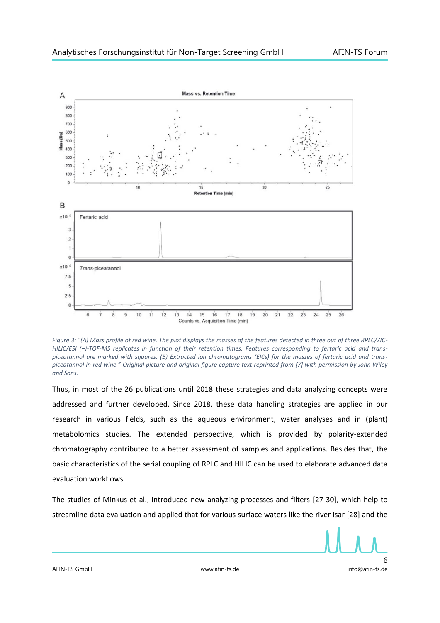

*Figure 3: "(A) Mass profile of red wine. The plot displays the masses of the features detected in three out of three RPLC/ZIC-HILIC/ESI (−)-TOF-MS replicates in function of their retention times. Features corresponding to fertaric acid and transpiceatannol are marked with squares. (B) Extracted ion chromatograms (EICs) for the masses of fertaric acid and transpiceatannol in red wine." Original picture and original figure capture text reprinted from [7] with permission by John Wiley and Sons.*

Thus, in most of the 26 publications until 2018 these strategies and data analyzing concepts were addressed and further developed. Since 2018, these data handling strategies are applied in our research in various fields, such as the aqueous environment, water analyses and in (plant) metabolomics studies. The extended perspective, which is provided by polarity-extended chromatography contributed to a better assessment of samples and applications. Besides that, the basic characteristics of the serial coupling of RPLC and HILIC can be used to elaborate advanced data evaluation workflows.

The studies of Minkus et al., introduced new analyzing processes and filters [27-30], which help to streamline data evaluation and applied that for various surface waters like the river Isar [28] and the

6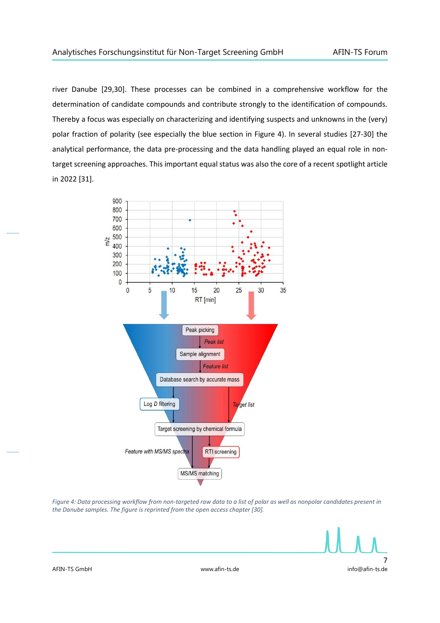river Danube [29,30]. These processes can be combined in a comprehensive workflow for the determination of candidate compounds and contribute strongly to the identification of compounds. Thereby a focus was especially on characterizing and identifying suspects and unknowns in the (very) polar fraction of polarity (see especially the blue section in Figure 4). In several studies [27-30] the analytical performance, the data pre-processing and the data handling played an equal role in nontarget screening approaches. This important equal status was also the core of a recent spotlight article in 2022 [31].



*Figure 4: Data processing workflow from non-targeted raw data to a list of polar as well as nonpolar candidates present in the Danube samples. The figure is reprinted from the open access chapter [30].*

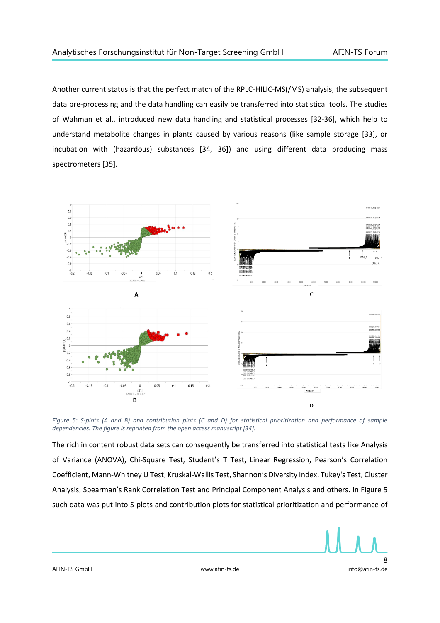Another current status is that the perfect match of the RPLC-HILIC-MS(/MS) analysis, the subsequent data pre-processing and the data handling can easily be transferred into statistical tools. The studies of Wahman et al., introduced new data handling and statistical processes [32-36], which help to understand metabolite changes in plants caused by various reasons (like sample storage [33], or incubation with (hazardous) substances [34, 36]) and using different data producing mass spectrometers [35].



*Figure 5: S-plots (A and B) and contribution plots (C and D) for statistical prioritization and performance of sample dependencies. The figure is reprinted from the open access manuscript [34].*

The rich in content robust data sets can consequently be transferred into statistical tests like Analysis of Variance (ANOVA), Chi-Square Test, Student's T Test, Linear Regression, Pearson's Correlation Coefficient, Mann-Whitney U Test, Kruskal-Wallis Test, Shannon's Diversity Index, Tukey's Test, Cluster Analysis, Spearman's Rank Correlation Test and Principal Component Analysis and others. In Figure 5 such data was put into S-plots and contribution plots for statistical prioritization and performance of

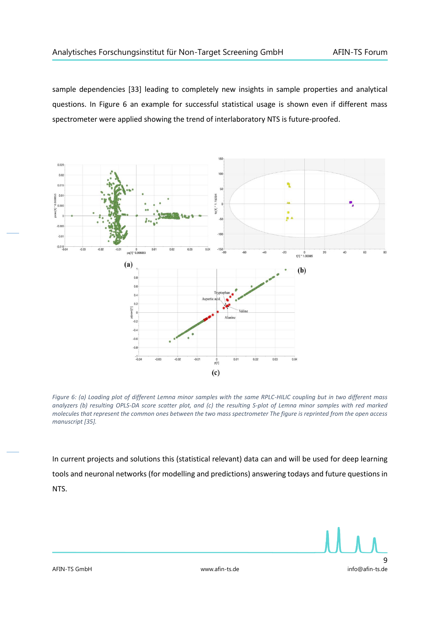sample dependencies [33] leading to completely new insights in sample properties and analytical questions. In Figure 6 an example for successful statistical usage is shown even if different mass spectrometer were applied showing the trend of interlaboratory NTS is future-proofed.



*Figure 6: (a) Loading plot of different Lemna minor samples with the same RPLC-HILIC coupling but in two different mass analyzers (b) resulting OPLS-DA score scatter plot, and (c) the resulting S-plot of Lemna minor samples with red marked molecules that represent the common ones between the two mass spectrometer The figure is reprinted from the open access manuscript [35].*

In current projects and solutions this (statistical relevant) data can and will be used for deep learning tools and neuronal networks (for modelling and predictions) answering todays and future questions in NTS.

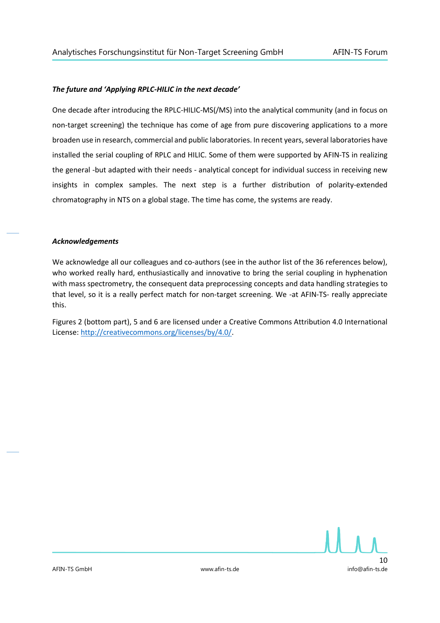#### *The future and 'Applying RPLC-HILIC in the next decade'*

One decade after introducing the RPLC-HILIC-MS(/MS) into the analytical community (and in focus on non-target screening) the technique has come of age from pure discovering applications to a more broaden use in research, commercial and public laboratories. In recent years, several laboratories have installed the serial coupling of RPLC and HILIC. Some of them were supported by AFIN-TS in realizing the general -but adapted with their needs - analytical concept for individual success in receiving new insights in complex samples. The next step is a further distribution of polarity-extended chromatography in NTS on a global stage. The time has come, the systems are ready.

#### *Acknowledgements*

We acknowledge all our colleagues and co-authors (see in the author list of the 36 references below), who worked really hard, enthusiastically and innovative to bring the serial coupling in hyphenation with mass spectrometry, the consequent data preprocessing concepts and data handling strategies to that level, so it is a really perfect match for non-target screening. We -at AFIN-TS- really appreciate this.

Figures 2 (bottom part), 5 and 6 are licensed under a Creative Commons Attribution 4.0 International License: [http://creativecommons.org/licenses/by/4.0/.](http://creativecommons.org/licenses/by/4.0/)

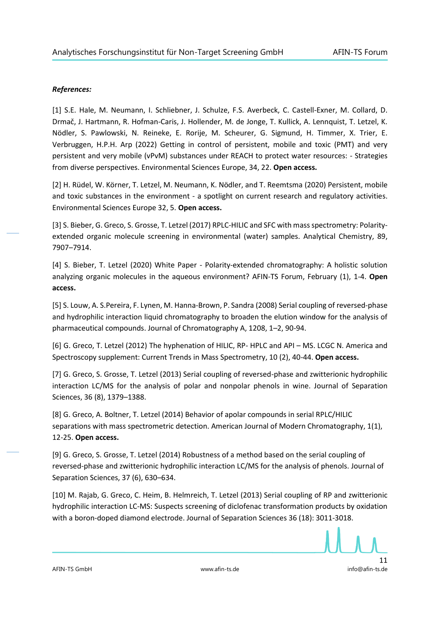#### *References:*

[1] S.E. Hale, M. Neumann, I. Schliebner, J. Schulze, F.S. Averbeck, C. Castell-Exner, M. Collard, D. Drmač, J. Hartmann, R. Hofman-Caris, J. Hollender, M. de Jonge, T. Kullick, A. Lennquist, T. Letzel, K. Nödler, S. Pawlowski, N. Reineke, E. Rorije, M. Scheurer, G. Sigmund, H. Timmer, X. Trier, E. Verbruggen, H.P.H. Arp (2022) Getting in control of persistent, mobile and toxic (PMT) and very persistent and very mobile (vPvM) substances under REACH to protect water resources: - Strategies from diverse perspectives. Environmental Sciences Europe, 34, 22. **Open access.**

[2] H. Rüdel, W. Körner, T. Letzel, M. Neumann, K. Nödler, and T. Reemtsma (2020) Persistent, mobile and toxic substances in the environment - a spotlight on current research and regulatory activities. Environmental Sciences Europe 32, 5. **Open access.**

[3] S. Bieber, G. Greco, S. Grosse, T. Letzel (2017) RPLC-HILIC and SFC with mass spectrometry: Polarityextended organic molecule screening in environmental (water) samples. Analytical Chemistry, 89, 7907–7914.

[4] S. Bieber, T. Letzel (2020) White Paper - Polarity-extended chromatography: A holistic solution analyzing organic molecules in the aqueous environment? AFIN-TS Forum, February (1), 1-4. **Open access.**

[5] S. Louw, A. S.Pereira, F. Lynen, M. Hanna-Brown, P. Sandra (2008) Serial coupling of reversed-phase and hydrophilic interaction liquid chromatography to broaden the elution window for the analysis of pharmaceutical compounds. Journal of Chromatography A, 1208, 1–2, 90-94.

[6] G. Greco, T. Letzel (2012) The hyphenation of HILIC, RP- HPLC and API – MS. LCGC N. America and Spectroscopy supplement: Current Trends in Mass Spectrometry, 10 (2), 40-44. **Open access.**

[7] G. Greco, S. Grosse, T. Letzel (2013) Serial coupling of reversed-phase and zwitterionic hydrophilic interaction LC/MS for the analysis of polar and nonpolar phenols in wine. Journal of Separation Sciences, 36 (8), 1379–1388.

[8] G. Greco, A. Boltner, T. Letzel (2014) Behavior of apolar compounds in serial RPLC/HILIC separations with mass spectrometric detection. American Journal of Modern Chromatography, 1(1), 12-25. **Open access.**

[9] G. Greco, S. Grosse, T. Letzel (2014) Robustness of a method based on the serial coupling of reversed-phase and zwitterionic hydrophilic interaction LC/MS for the analysis of phenols. Journal of Separation Sciences, 37 (6), 630–634.

[10] M. Rajab, G. Greco, C. Heim, B. Helmreich, T. Letzel (2013) Serial coupling of RP and zwitterionic hydrophilic interaction LC-MS: Suspects screening of diclofenac transformation products by oxidation with a boron-doped diamond electrode. Journal of Separation Sciences 36 (18): 3011-3018.

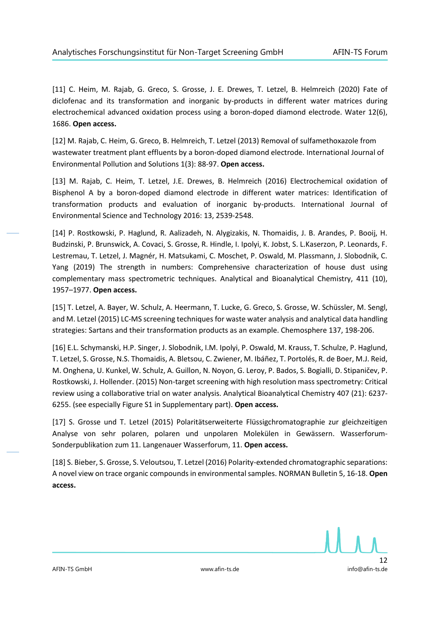[11] C. Heim, M. Rajab, G. Greco, S. Grosse, J. E. Drewes, T. Letzel, B. Helmreich (2020) Fate of diclofenac and its transformation and inorganic by-products in different water matrices during electrochemical advanced oxidation process using a boron-doped diamond electrode. Water 12(6), 1686. **Open access.**

[12] M. Rajab, C. Heim, G. Greco, B. Helmreich, T. Letzel (2013) Removal of sulfamethoxazole from wastewater treatment plant effluents by a boron-doped diamond electrode. International Journal of Environmental Pollution and Solutions 1(3): 88-97. **Open access.**

[13] M. Rajab, C. Heim, T. Letzel, J.E. Drewes, B. Helmreich (2016) Electrochemical oxidation of Bisphenol A by a boron-doped diamond electrode in different water matrices: Identification of transformation products and evaluation of inorganic by-products. International Journal of Environmental Science and Technology 2016: 13, 2539-2548.

[14] P. Rostkowski, P. Haglund, R. Aalizadeh, N. Alygizakis, N. Thomaidis, J. B. Arandes, P. Booij, H. Budzinski, P. Brunswick, A. Covaci, S. Grosse, R. Hindle, I. Ipolyi, K. Jobst, S. L.Kaserzon, P. Leonards, F. Lestremau, T. Letzel, J. Magnér, H. Matsukami, C. Moschet, P. Oswald, M. Plassmann, J. Slobodnik, C. Yang (2019) The strength in numbers: Comprehensive characterization of house dust using complementary mass spectrometric techniques. Analytical and Bioanalytical Chemistry, 411 (10), 1957–1977. **Open access.**

[15] T. Letzel, A. Bayer, W. Schulz, A. Heermann, T. Lucke, G. Greco, S. Grosse, W. Schüssler, M. Sengl, and M. Letzel (2015) LC-MS screening techniques for waste water analysis and analytical data handling strategies: Sartans and their transformation products as an example. Chemosphere 137, 198-206.

[16] E.L. Schymanski, H.P. Singer, J. Slobodnik, I.M. Ipolyi, P. Oswald, M. Krauss, T. Schulze, P. Haglund, T. Letzel, S. Grosse, N.S. Thomaidis, A. Bletsou, C. Zwiener, M. Ibáñez, T. Portolés, R. de Boer, M.J. Reid, M. Onghena, U. Kunkel, W. Schulz, A. Guillon, N. Noyon, G. Leroy, P. Bados, S. Bogialli, D. Stipaničev, P. Rostkowski, J. Hollender. (2015) Non-target screening with high resolution mass spectrometry: Critical review using a collaborative trial on water analysis. Analytical Bioanalytical Chemistry 407 (21): 6237- 6255. (see especially Figure S1 in Supplementary part). **Open access.**

[17] S. Grosse und T. Letzel (2015) Polaritätserweiterte Flüssigchromatographie zur gleichzeitigen Analyse von sehr polaren, polaren und unpolaren Molekülen in Gewässern. Wasserforum-Sonderpublikation zum 11. Langenauer Wasserforum, 11. **Open access.**

[18] S. Bieber, S. Grosse, S. Veloutsou, T. Letzel (2016) Polarity-extended chromatographic separations: A novel view on trace organic compounds in environmental samples. NORMAN Bulletin 5, 16-18. **Open access.**

12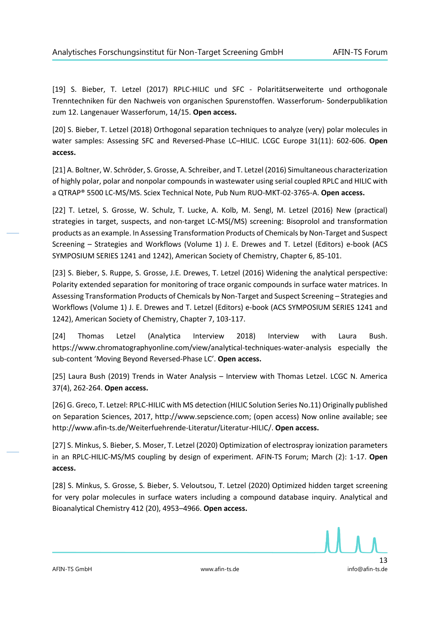[19] S. Bieber, T. Letzel (2017) RPLC-HILIC und SFC - Polaritätserweiterte und orthogonale Trenntechniken für den Nachweis von organischen Spurenstoffen. Wasserforum- Sonderpublikation zum 12. Langenauer Wasserforum, 14/15. **Open access.**

[20] S. Bieber, T. Letzel (2018) Orthogonal separation techniques to analyze (very) polar molecules in water samples: Assessing SFC and Reversed-Phase LC–HILIC. LCGC Europe 31(11): 602-606. **Open access.**

[21] A. Boltner, W. Schröder, S. Grosse, A. Schreiber, and T. Letzel (2016) Simultaneous characterization of highly polar, polar and nonpolar compounds in wastewater using serial coupled RPLC and HILIC with a QTRAP® 5500 LC-MS/MS. Sciex Technical Note, Pub Num RUO-MKT-02-3765-A. **Open access.**

[22] T. Letzel, S. Grosse, W. Schulz, T. Lucke, A. Kolb, M. Sengl, M. Letzel (2016) New (practical) strategies in target, suspects, and non-target LC-MS(/MS) screening: Bisoprolol and transformation products as an example. In Assessing Transformation Products of Chemicals by Non-Target and Suspect Screening – Strategies and Workflows (Volume 1) J. E. Drewes and T. Letzel (Editors) e-book (ACS SYMPOSIUM SERIES 1241 and 1242), American Society of Chemistry, Chapter 6, 85-101.

[23] S. Bieber, S. Ruppe, S. Grosse, J.E. Drewes, T. Letzel (2016) Widening the analytical perspective: Polarity extended separation for monitoring of trace organic compounds in surface water matrices. In Assessing Transformation Products of Chemicals by Non-Target and Suspect Screening – Strategies and Workflows (Volume 1) J. E. Drewes and T. Letzel (Editors) e-book (ACS SYMPOSIUM SERIES 1241 and 1242), American Society of Chemistry, Chapter 7, 103-117.

[24] Thomas Letzel (Analytica Interview 2018) Interview with Laura Bush. https://www.chromatographyonline.com/view/analytical-techniques-water-analysis especially the sub-content 'Moving Beyond Reversed-Phase LC'. **Open access.**

[25] Laura Bush (2019) Trends in Water Analysis – Interview with Thomas Letzel. LCGC N. America 37(4), 262-264. **Open access.**

[26] G. Greco, T. Letzel: RPLC-HILIC with MS detection (HILIC Solution Series No.11) Originally published on Separation Sciences, 2017, http://www.sepscience.com; (open access) Now online available; see http://www.afin-ts.de/Weiterfuehrende-Literatur/Literatur-HILIC/. **Open access.**

[27] S. Minkus, S. Bieber, S. Moser, T. Letzel (2020) Optimization of electrospray ionization parameters in an RPLC-HILIC-MS/MS coupling by design of experiment. AFIN-TS Forum; March (2): 1-17. **Open access.**

[28] S. Minkus, S. Grosse, S. Bieber, S. Veloutsou, T. Letzel (2020) Optimized hidden target screening for very polar molecules in surface waters including a compound database inquiry. Analytical and Bioanalytical Chemistry 412 (20), 4953–4966. **Open access.**

13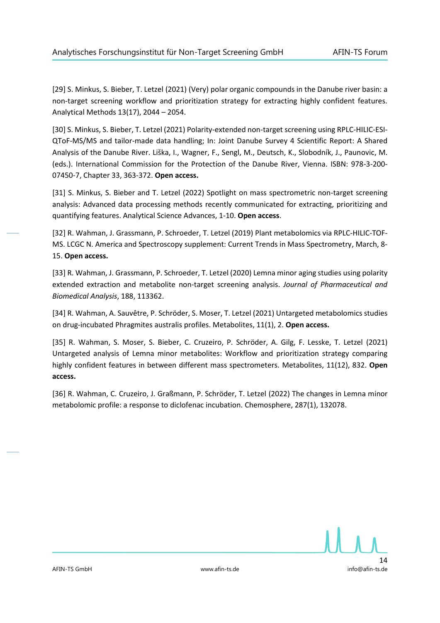[29] S. Minkus, S. Bieber, T. Letzel (2021) (Very) polar organic compounds in the Danube river basin: a non-target screening workflow and prioritization strategy for extracting highly confident features. Analytical Methods 13(17), 2044 – 2054.

[30] S. Minkus, S. Bieber, T. Letzel (2021) Polarity-extended non-target screening using RPLC-HILIC-ESI-QToF-MS/MS and tailor-made data handling; In: Joint Danube Survey 4 Scientific Report: A Shared Analysis of the Danube River. Liška, I., Wagner, F., Sengl, M., Deutsch, K., Slobodník, J., Paunovic, M. (eds.). International Commission for the Protection of the Danube River, Vienna. ISBN: 978-3-200- 07450-7, Chapter 33, 363-372. **Open access.**

[31] S. Minkus, S. Bieber and T. Letzel (2022) Spotlight on mass spectrometric non-target screening analysis: Advanced data processing methods recently communicated for extracting, prioritizing and quantifying features. Analytical Science Advances, 1-10. **Open access**.

[32] R. Wahman, J. Grassmann, P. Schroeder, T. Letzel (2019) Plant metabolomics via RPLC-HILIC-TOF-MS. LCGC N. America and Spectroscopy supplement: Current Trends in Mass Spectrometry, March, 8- 15. **Open access.**

[33] R. Wahman, J. Grassmann, P. Schroeder, T. Letzel (2020) Lemna minor aging studies using polarity extended extraction and metabolite non-target screening analysis. *Journal of Pharmaceutical and Biomedical Analysis*, 188, 113362.

[34] R. Wahman, A. Sauvêtre, P. Schröder, S. Moser, T. Letzel (2021) Untargeted metabolomics studies on drug-incubated Phragmites australis profiles. Metabolites, 11(1), 2. **Open access.**

[35] R. Wahman, S. Moser, S. Bieber, C. Cruzeiro, P. Schröder, A. Gilg, F. Lesske, T. Letzel (2021) Untargeted analysis of Lemna minor metabolites: Workflow and prioritization strategy comparing highly confident features in between different mass spectrometers. Metabolites, 11(12), 832. **Open access.**

[36] R. Wahman, C. Cruzeiro, J. Graßmann, P. Schröder, T. Letzel (2022) The changes in Lemna minor metabolomic profile: a response to diclofenac incubation. Chemosphere, 287(1), 132078.